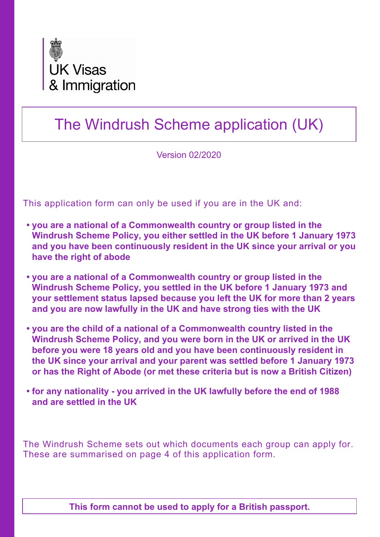

# The Windrush Scheme application (UK)

Version 02/2020

This application form can only be used if you are in the UK and:

- **• you are a national of a Commonwealth country or group listed in the Windrush Scheme Policy, you either settled in the UK before 1 January 1973 and you have been continuously resident in the UK since your arrival or you have the right of abode**
- **• you are a national of a Commonwealth country or group listed in the Windrush Scheme Policy, you settled in the UK before 1 January 1973 and your settlement status lapsed because you left the UK for more than 2 years and you are now lawfully in the UK and have strong ties with the UK**
- **• you are the child of a national of a Commonwealth country listed in the Windrush Scheme Policy, and you were born in the UK or arrived in the UK before you were 18 years old and you have been continuously resident in the UK since your arrival and your parent was settled before 1 January 1973 or has the Right of Abode (or met these criteria but is now a British Citizen)**
- **• for any nationality you arrived in the UK lawfully before the end of 1988 and are settled in the UK**

The Windrush Scheme sets out which documents each group can apply for. These are summarised on page 4 of this application form.

**This form cannot be used to apply for a British passport.**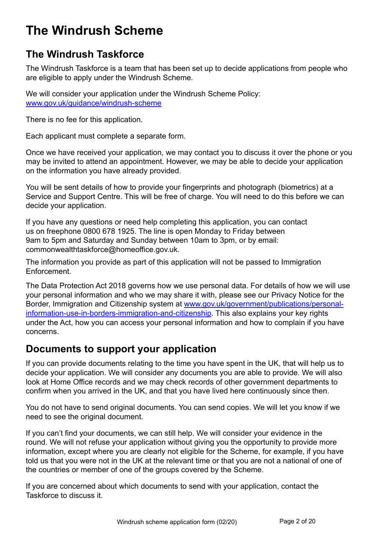# **The Windrush Scheme**

### **The Windrush Taskforce**

The Windrush Taskforce is a team that has been set up to decide applications from people who are eligible to apply under the Windrush Scheme.

We will consider your application under the Windrush Scheme Policy: [www.gov.uk/guidance/windrush-scheme](http://www.gov.uk/guidance/windrush-scheme )

There is no fee for this application.

Each applicant must complete a separate form.

Once we have received your application, we may contact you to discuss it over the phone or you may be invited to attend an appointment. However, we may be able to decide your application on the information you have already provided.

You will be sent details of how to provide your fingerprints and photograph (biometrics) at a Service and Support Centre. This will be free of charge. You will need to do this before we can decide your application.

If you have any questions or need help completing this application, you can contact us on freephone 0800 678 1925. The line is open Monday to Friday between 9am to 5pm and Saturday and Sunday between 10am to 3pm, or by email: commonwealthtaskforce@homeoffice.gov.uk.

The information you provide as part of this application will not be passed to Immigration Enforcement.

The Data Protection Act 2018 governs how we use personal data. For details of how we will use your personal information and who we may share it with, please see our Privacy Notice for the Border, Immigration and Citizenship system at [www.gov.uk/government/publications/personal](https://www.gov.uk/government/publications/personal-information-use-in-borders-immigration-and-citizenship)[information-use-in-borders-immigration-and-citizenship](https://www.gov.uk/government/publications/personal-information-use-in-borders-immigration-and-citizenship). This also explains your key rights under the Act, how you can access your personal information and how to complain if you have concerns.

### **Documents to support your application**

If you can provide documents relating to the time you have spent in the UK, that will help us to decide your application. We will consider any documents you are able to provide. We will also look at Home Office records and we may check records of other government departments to confirm when you arrived in the UK, and that you have lived here continuously since then.

You do not have to send original documents. You can send copies. We will let you know if we need to see the original document.

If you can't find your documents, we can still help. We will consider your evidence in the round. We will not refuse your application without giving you the opportunity to provide more information, except where you are clearly not eligible for the Scheme, for example, if you have told us that you were not in the UK at the relevant time or that you are not a national of one of the countries or member of one of the groups covered by the Scheme.

If you are concerned about which documents to send with your application, contact the Taskforce to discuss it.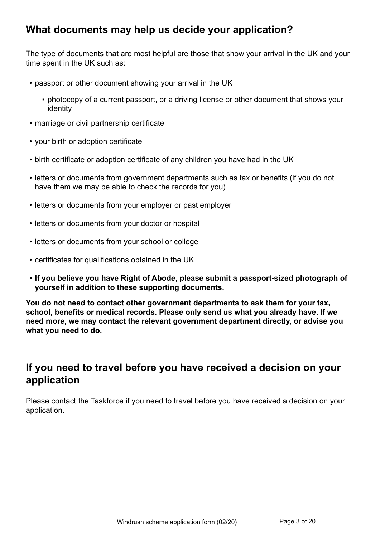### **What documents may help us decide your application?**

The type of documents that are most helpful are those that show your arrival in the UK and your time spent in the UK such as:

- passport or other document showing your arrival in the UK
	- photocopy of a current passport, or a driving license or other document that shows your identity
- marriage or civil partnership certificate
- your birth or adoption certificate
- birth certificate or adoption certificate of any children you have had in the UK
- letters or documents from government departments such as tax or benefits (if you do not have them we may be able to check the records for you)
- letters or documents from your employer or past employer
- letters or documents from your doctor or hospital
- letters or documents from your school or college
- certificates for qualifications obtained in the UK
- **• If you believe you have Right of Abode, please submit a passport-sized photograph of yourself in addition to these supporting documents.**

**You do not need to contact other government departments to ask them for your tax, school, benefits or medical records. Please only send us what you already have. If we need more, we may contact the relevant government department directly, or advise you what you need to do.**

### **If you need to travel before you have received a decision on your application**

Please contact the Taskforce if you need to travel before you have received a decision on your application.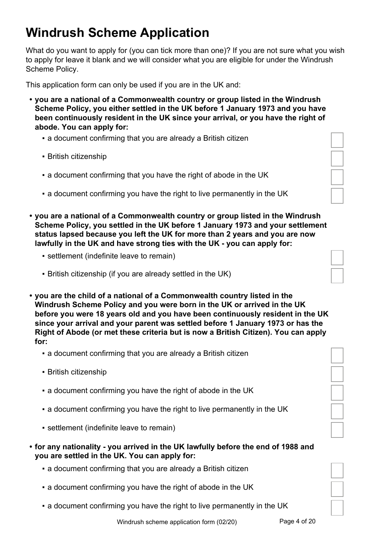# **Windrush Scheme Application**

What do you want to apply for (you can tick more than one)? If you are not sure what you wish to apply for leave it blank and we will consider what you are eligible for under the Windrush Scheme Policy.

This application form can only be used if you are in the UK and:

- **• you are a national of a Commonwealth country or group listed in the Windrush Scheme Policy, you either settled in the UK before 1 January 1973 and you have been continuously resident in the UK since your arrival, or you have the right of abode. You can apply for:**
	- a document confirming that you are already a British citizen
	- **British citizenship**
	- a document confirming that you have the right of abode in the UK
	- a document confirming you have the right to live permanently in the UK
- **• you are a national of a Commonwealth country or group listed in the Windrush Scheme Policy, you settled in the UK before 1 January 1973 and your settlement status lapsed because you left the UK for more than 2 years and you are now lawfully in the UK and have strong ties with the UK - you can apply for:**
	- **E** settlement (indefinite leave to remain)
	- British citizenship (if you are already settled in the UK)
- **• you are the child of a national of a Commonwealth country listed in the Windrush Scheme Policy and you were born in the UK or arrived in the UK before you were 18 years old and you have been continuously resident in the UK since your arrival and your parent was settled before 1 January 1973 or has the Right of Abode (or met these criteria but is now a British Citizen). You can apply for:**
	- **a document confirming that you are already a British citizen**
	- British citizenship
	- . a document confirming you have the right of abode in the UK
	- a document confirming you have the right to live permanently in the UK
	- settlement (indefinite leave to remain)
- **• for any nationality you arrived in the UK lawfully before the end of 1988 and you are settled in the UK. You can apply for:**
	- a document confirming that you are already a British citizen
	- . a document confirming you have the right of abode in the UK
	- a document confirming you have the right to live permanently in the UK

| Windrush scheme application form (02/20) | Page 4 of 20 |
|------------------------------------------|--------------|
|------------------------------------------|--------------|

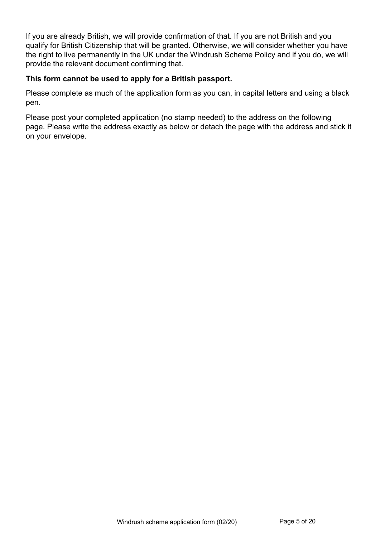If you are already British, we will provide confirmation of that. If you are not British and you qualify for British Citizenship that will be granted. Otherwise, we will consider whether you have the right to live permanently in the UK under the Windrush Scheme Policy and if you do, we will provide the relevant document confirming that.

#### **This form cannot be used to apply for a British passport.**

Please complete as much of the application form as you can, in capital letters and using a black pen.

Please post your completed application (no stamp needed) to the address on the following page. Please write the address exactly as below or detach the page with the address and stick it on your envelope.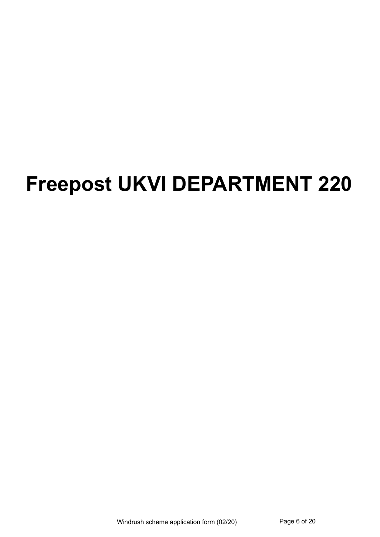# **Freepost UKVI DEPARTMENT 220**

Windrush scheme application form (02/20) Page 6 of 20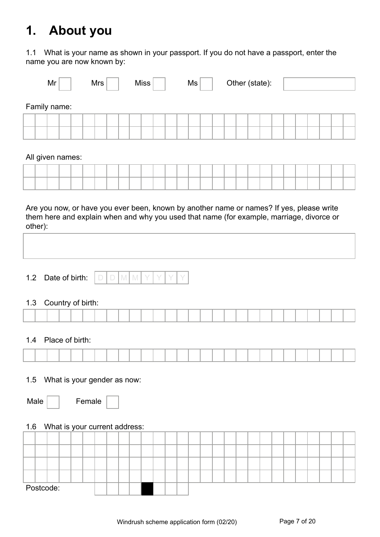# **1. About you**

1.1 What is your name as shown in your passport. If you do not have a passport, enter the name you are now known by:

|                  | Mr |  | Mrs |  | <b>Miss</b> |  | Ms |  | Other (state): |  |  |  |  |  |
|------------------|----|--|-----|--|-------------|--|----|--|----------------|--|--|--|--|--|
| Family name:     |    |  |     |  |             |  |    |  |                |  |  |  |  |  |
|                  |    |  |     |  |             |  |    |  |                |  |  |  |  |  |
|                  |    |  |     |  |             |  |    |  |                |  |  |  |  |  |
| All given names: |    |  |     |  |             |  |    |  |                |  |  |  |  |  |
|                  |    |  |     |  |             |  |    |  |                |  |  |  |  |  |
|                  |    |  |     |  |             |  |    |  |                |  |  |  |  |  |

Are you now, or have you ever been, known by another name or names? If yes, please write them here and explain when and why you used that name (for example, marriage, divorce or other):

| Date of birth: |  |
|----------------|--|
|----------------|--|

#### 1.3 Country of birth:

| . |  |  |  |  |  |  |  |  |  |  |  |  |  |  |
|---|--|--|--|--|--|--|--|--|--|--|--|--|--|--|
|   |  |  |  |  |  |  |  |  |  |  |  |  |  |  |
|   |  |  |  |  |  |  |  |  |  |  |  |  |  |  |
|   |  |  |  |  |  |  |  |  |  |  |  |  |  |  |
|   |  |  |  |  |  |  |  |  |  |  |  |  |  |  |
|   |  |  |  |  |  |  |  |  |  |  |  |  |  |  |
|   |  |  |  |  |  |  |  |  |  |  |  |  |  |  |
|   |  |  |  |  |  |  |  |  |  |  |  |  |  |  |

#### 1.4 Place of birth:

#### 1.5 What is your gender as now:

| Male | Fem |
|------|-----|
|------|-----|

#### 1.6 What is your current address:

|  | Postcode: |  |  |  |  |  |  |  |  |  |  |  |  |  |
|--|-----------|--|--|--|--|--|--|--|--|--|--|--|--|--|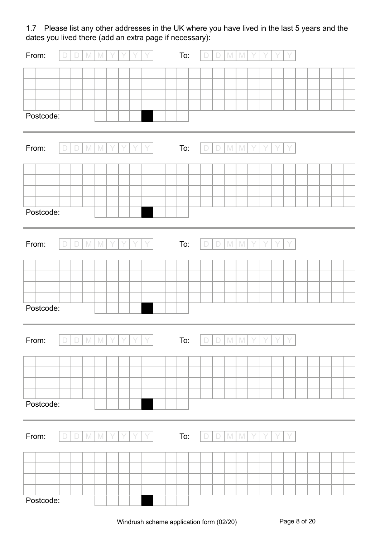1.7 Please list any other addresses in the UK where you have lived in the last 5 years and the dates you lived there (add an extra page if necessary):

| From:     | $\Box$ | $\Box$ | $\mathbb N$  | $\mathbb{M}$    |   |   |   |   | To: | D      | D      | $\mathbb M$ | $\mathbb{M}$ |   |   |   |  |  |  |
|-----------|--------|--------|--------------|-----------------|---|---|---|---|-----|--------|--------|-------------|--------------|---|---|---|--|--|--|
|           |        |        |              |                 |   |   |   |   |     |        |        |             |              |   |   |   |  |  |  |
|           |        |        |              |                 |   |   |   |   |     |        |        |             |              |   |   |   |  |  |  |
|           |        |        |              |                 |   |   |   |   |     |        |        |             |              |   |   |   |  |  |  |
|           |        |        |              |                 |   |   |   |   |     |        |        |             |              |   |   |   |  |  |  |
| Postcode: |        |        |              |                 |   |   |   |   |     |        |        |             |              |   |   |   |  |  |  |
|           |        |        |              |                 |   |   |   |   |     |        |        |             |              |   |   |   |  |  |  |
| From:     | $\Box$ | $\Box$ | $\mathbb N$  | ${\mathbb M}$   |   |   |   |   | To: | $\Box$ | $\Box$ | M           | M            |   |   |   |  |  |  |
|           |        |        |              |                 |   |   |   |   |     |        |        |             |              |   |   |   |  |  |  |
|           |        |        |              |                 |   |   |   |   |     |        |        |             |              |   |   |   |  |  |  |
|           |        |        |              |                 |   |   |   |   |     |        |        |             |              |   |   |   |  |  |  |
|           |        |        |              |                 |   |   |   |   |     |        |        |             |              |   |   |   |  |  |  |
| Postcode: |        |        |              |                 |   |   |   |   |     |        |        |             |              |   |   |   |  |  |  |
|           |        |        |              |                 |   |   |   |   |     |        |        |             |              |   |   |   |  |  |  |
| From:     | $\Box$ | $\Box$ | $\mathbb{M}$ | M               |   |   |   |   | To: | D      | $\Box$ | M           | M            |   |   |   |  |  |  |
|           |        |        |              |                 |   |   |   |   |     |        |        |             |              |   |   |   |  |  |  |
|           |        |        |              |                 |   |   |   |   |     |        |        |             |              |   |   |   |  |  |  |
|           |        |        |              |                 |   |   |   |   |     |        |        |             |              |   |   |   |  |  |  |
|           |        |        |              |                 |   |   |   |   |     |        |        |             |              |   |   |   |  |  |  |
| Postcode: |        |        |              |                 |   |   |   |   |     |        |        |             |              |   |   |   |  |  |  |
|           |        |        |              |                 |   |   |   |   |     |        |        |             |              |   |   |   |  |  |  |
|           |        |        |              |                 |   |   |   |   |     |        |        |             |              |   |   |   |  |  |  |
| From:     | $\Box$ | $\Box$ |              | $M$ $M$         | Y | Y | Y | Y | To: | $\Box$ | $\Box$ |             | $M$ $M$      | Y | Y |   |  |  |  |
|           |        |        |              |                 |   |   |   |   |     |        |        |             |              |   |   |   |  |  |  |
|           |        |        |              |                 |   |   |   |   |     |        |        |             |              |   |   |   |  |  |  |
|           |        |        |              |                 |   |   |   |   |     |        |        |             |              |   |   |   |  |  |  |
|           |        |        |              |                 |   |   |   |   |     |        |        |             |              |   |   |   |  |  |  |
| Postcode: |        |        |              |                 |   |   |   |   |     |        |        |             |              |   |   |   |  |  |  |
|           |        |        |              |                 |   |   |   |   |     |        |        |             |              |   |   |   |  |  |  |
| From:     | $\Box$ | $\Box$ | M            | $\mathbbmss{M}$ | Y | Y | Y | Y | To: | $\Box$ | $\Box$ |             | $M$ $M$      | Y | Y | Y |  |  |  |
|           |        |        |              |                 |   |   |   |   |     |        |        |             |              |   |   |   |  |  |  |
|           |        |        |              |                 |   |   |   |   |     |        |        |             |              |   |   |   |  |  |  |
|           |        |        |              |                 |   |   |   |   |     |        |        |             |              |   |   |   |  |  |  |
|           |        |        |              |                 |   |   |   |   |     |        |        |             |              |   |   |   |  |  |  |
| Postcode: |        |        |              |                 |   |   |   |   |     |        |        |             |              |   |   |   |  |  |  |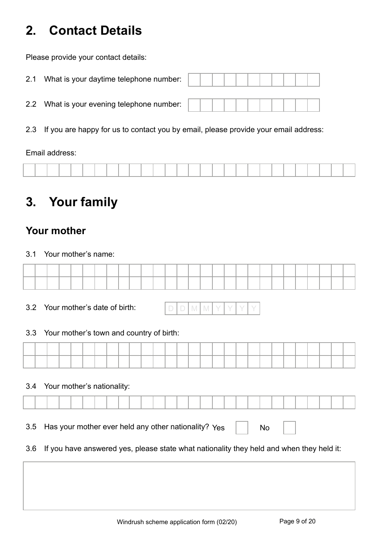# **2. Contact Details**

Please provide your contact details:

| 2.1 | What is your daytime telephone number:     |  |  |  |  |  |  |
|-----|--------------------------------------------|--|--|--|--|--|--|
|     | 2.2 What is your evening telephone number: |  |  |  |  |  |  |

2.3 If you are happy for us to contact you by email, please provide your email address:

Email address:

# **3. Your family**

### **Your mother**

3.1 Your mother's name:

3.2 Your mother's date of birth:

#### 3.3 Your mother's town and country of birth:

|  | ____ | _____ |  | ____<br>_____ |  |  | ____ | ____ | ____<br>____ | ___ |  |  | ____ | _____ |  |
|--|------|-------|--|---------------|--|--|------|------|--------------|-----|--|--|------|-------|--|
|  |      |       |  |               |  |  |      |      |              |     |  |  |      |       |  |

#### 3.4 Your mother's nationality:

3.5 Has your mother ever held any other nationality?  $Y_{ES}$   $\Box$  No

3.6 If you have answered yes, please state what nationality they held and when they held it: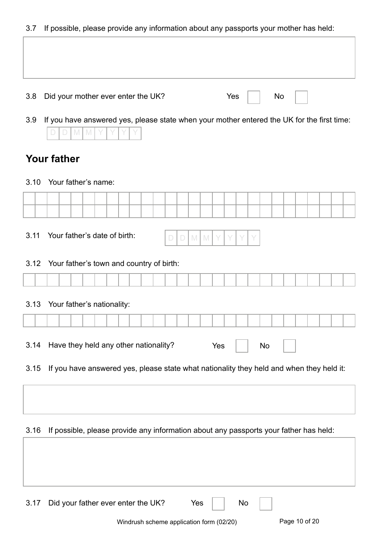3.7 If possible, please provide any information about any passports your mother has held:

| $\cup$ . $\prime$  | ii possibio, picaso proviac arry imomialion about arry passports your motifor nas noia.    |                   |  |  |   |        |         |     |     |  |    |    |  |  |  |
|--------------------|--------------------------------------------------------------------------------------------|-------------------|--|--|---|--------|---------|-----|-----|--|----|----|--|--|--|
|                    |                                                                                            |                   |  |  |   |        |         |     |     |  |    |    |  |  |  |
|                    |                                                                                            |                   |  |  |   |        |         |     |     |  |    |    |  |  |  |
|                    |                                                                                            |                   |  |  |   |        |         |     |     |  |    |    |  |  |  |
| 3.8                | Did your mother ever enter the UK?                                                         |                   |  |  |   |        |         |     | Yes |  |    | No |  |  |  |
|                    |                                                                                            |                   |  |  |   |        |         |     |     |  |    |    |  |  |  |
| 3.9                | If you have answered yes, please state when your mother entered the UK for the first time: |                   |  |  |   |        |         |     |     |  |    |    |  |  |  |
|                    |                                                                                            | $\mathbb{M}$<br>M |  |  |   |        |         |     |     |  |    |    |  |  |  |
| <b>Your father</b> |                                                                                            |                   |  |  |   |        |         |     |     |  |    |    |  |  |  |
|                    |                                                                                            |                   |  |  |   |        |         |     |     |  |    |    |  |  |  |
| 3.10               | Your father's name:                                                                        |                   |  |  |   |        |         |     |     |  |    |    |  |  |  |
|                    |                                                                                            |                   |  |  |   |        |         |     |     |  |    |    |  |  |  |
|                    |                                                                                            |                   |  |  |   |        |         |     |     |  |    |    |  |  |  |
| 3.11               | Your father's date of birth:                                                               |                   |  |  |   |        |         |     |     |  |    |    |  |  |  |
|                    |                                                                                            |                   |  |  | D | $\Box$ | $M$ $M$ |     |     |  |    |    |  |  |  |
| 3.12               | Your father's town and country of birth:                                                   |                   |  |  |   |        |         |     |     |  |    |    |  |  |  |
|                    |                                                                                            |                   |  |  |   |        |         |     |     |  |    |    |  |  |  |
|                    |                                                                                            |                   |  |  |   |        |         |     |     |  |    |    |  |  |  |
| 3.13               | Your father's nationality:                                                                 |                   |  |  |   |        |         |     |     |  |    |    |  |  |  |
|                    |                                                                                            |                   |  |  |   |        |         |     |     |  |    |    |  |  |  |
|                    |                                                                                            |                   |  |  |   |        |         |     |     |  |    |    |  |  |  |
| 3.14               | Have they held any other nationality?                                                      |                   |  |  |   |        |         | Yes |     |  | No |    |  |  |  |
| 3.15               | If you have answered yes, please state what nationality they held and when they held it:   |                   |  |  |   |        |         |     |     |  |    |    |  |  |  |
|                    |                                                                                            |                   |  |  |   |        |         |     |     |  |    |    |  |  |  |
|                    |                                                                                            |                   |  |  |   |        |         |     |     |  |    |    |  |  |  |
|                    |                                                                                            |                   |  |  |   |        |         |     |     |  |    |    |  |  |  |
| 3.16               | If possible, please provide any information about any passports your father has held:      |                   |  |  |   |        |         |     |     |  |    |    |  |  |  |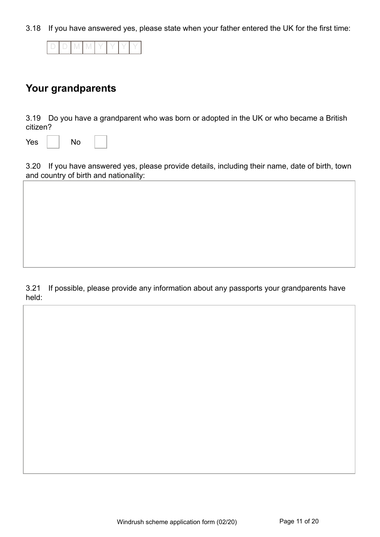3.18 If you have answered yes, please state when your father entered the UK for the first time:

|--|--|--|--|--|--|--|--|

### **Your grandparents**

3.19 Do you have a grandparent who was born or adopted in the UK or who became a British citizen?

| Yes |  | No |  |  |
|-----|--|----|--|--|
|-----|--|----|--|--|

3.20 If you have answered yes, please provide details, including their name, date of birth, town and country of birth and nationality:

3.21 If possible, please provide any information about any passports your grandparents have held: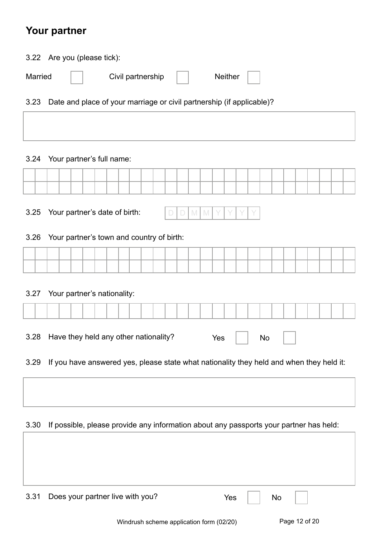### **Your partner**

| 3.22 Are you (please tick): |                                                                       |                 |
|-----------------------------|-----------------------------------------------------------------------|-----------------|
| Married                     | Civil partnership $\qquad \qquad \vert \quad \vert$                   | Neither $\vert$ |
| 3.23                        | Date and place of your marriage or civil partnership (if applicable)? |                 |

#### 3.24 Your partner's full name:

| 3.25 | Your partner's date of birth:                                                            |
|------|------------------------------------------------------------------------------------------|
| 3.26 | Your partner's town and country of birth:                                                |
|      |                                                                                          |
|      |                                                                                          |
| 3.27 | Your partner's nationality:                                                              |
|      |                                                                                          |
| 3.28 | Have they held any other nationality?<br>Yes<br>No                                       |
| 3.29 | If you have answered yes, please state what nationality they held and when they held it: |

#### 3.30 If possible, please provide any information about any passports your partner has held:

| 3.31 Does your partner live with you? | Yes<br>$\mathsf{No}$ |
|---------------------------------------|----------------------|
|                                       |                      |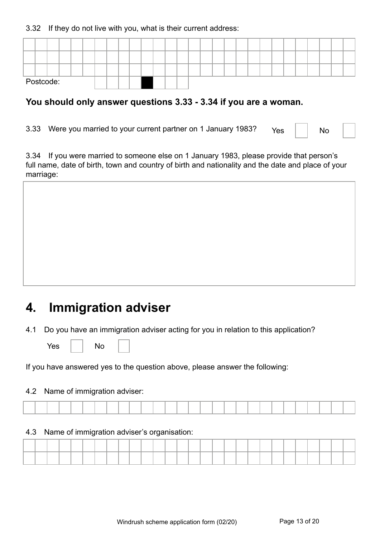3.32 If they do not live with you, what is their current address:

|  | Postcode: |  |  |  |  |  |  |  |  |  |  |  |  |  |
|--|-----------|--|--|--|--|--|--|--|--|--|--|--|--|--|

#### **You should only answer questions 3.33 - 3.34 if you are a woman.**

3.33 Were you married to your current partner on 1 January 1983?  $Y_{\text{res}}$  | | No

3.34 If you were married to someone else on 1 January 1983, please provide that person's full name, date of birth, town and country of birth and nationality and the date and place of your marriage:

# **4. Immigration adviser**

4.1 Do you have an immigration adviser acting for you in relation to this application?

Yes | | No

If you have answered yes to the question above, please answer the following:

#### 4.2 Name of immigration adviser:

#### 4.3 Name of immigration adviser's organisation: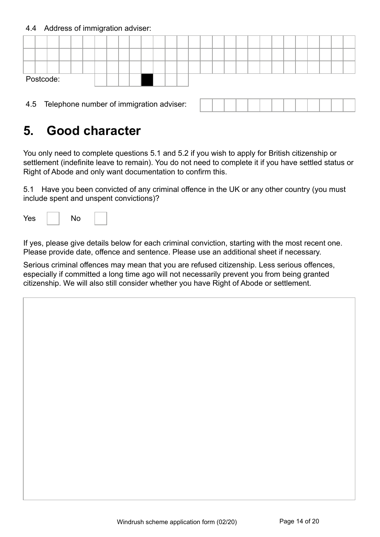4.4 Address of immigration adviser:

|  | Postcode: |  |  |  |  |  |  |  |  |  |  |  |      |  |
|--|-----------|--|--|--|--|--|--|--|--|--|--|--|------|--|
|  |           |  |  |  |  |  |  |  |  |  |  |  | $ -$ |  |

4.5 Telephone number of immigration adviser:

# **5. Good character**

You only need to complete questions 5.1 and 5.2 if you wish to apply for British citizenship or settlement (indefinite leave to remain). You do not need to complete it if you have settled status or Right of Abode and only want documentation to confirm this.

5.1 Have you been convicted of any criminal offence in the UK or any other country (you must include spent and unspent convictions)?

| Yes<br>No |  |
|-----------|--|
|-----------|--|

If yes, please give details below for each criminal conviction, starting with the most recent one. Please provide date, offence and sentence. Please use an additional sheet if necessary.

Serious criminal offences may mean that you are refused citizenship. Less serious offences, especially if committed a long time ago will not necessarily prevent you from being granted citizenship. We will also still consider whether you have Right of Abode or settlement.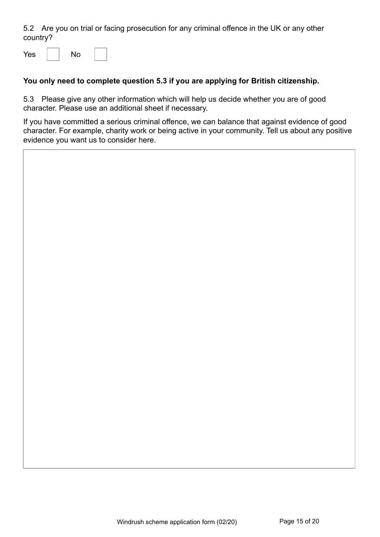5.2 Are you on trial or facing prosecution for any criminal offence in the UK or any other country?

 $Yes \mid \mid No$ 

#### **You only need to complete question 5.3 if you are applying for British citizenship.**

5.3 Please give any other information which will help us decide whether you are of good character. Please use an additional sheet if necessary.

If you have committed a serious criminal offence, we can balance that against evidence of good character. For example, charity work or being active in your community. Tell us about any positive evidence you want us to consider here.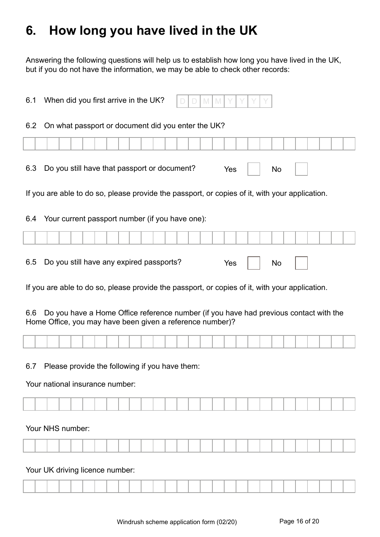# **6. How long you have lived in the UK**

Answering the following questions will help us to establish how long you have lived in the UK, but if you do not have the information, we may be able to check other records:

| 6.1 | When did you first arrive in the UK?<br>M<br>D<br>IV.                                                                                              |
|-----|----------------------------------------------------------------------------------------------------------------------------------------------------|
| 6.2 | On what passport or document did you enter the UK?                                                                                                 |
|     |                                                                                                                                                    |
| 6.3 | Do you still have that passport or document?<br>Yes<br>No                                                                                          |
|     | If you are able to do so, please provide the passport, or copies of it, with your application.                                                     |
| 6.4 | Your current passport number (if you have one):                                                                                                    |
|     |                                                                                                                                                    |
| 6.5 | Do you still have any expired passports?<br>Yes<br>No                                                                                              |
|     | If you are able to do so, please provide the passport, or copies of it, with your application.                                                     |
| 6.6 | Do you have a Home Office reference number (if you have had previous contact with the<br>Home Office, you may have been given a reference number)? |
|     |                                                                                                                                                    |
| 6.7 | Please provide the following if you have them:<br>Your national insurance number:                                                                  |
|     |                                                                                                                                                    |
|     |                                                                                                                                                    |
|     | Your NHS number:                                                                                                                                   |
|     |                                                                                                                                                    |
|     | Your UK driving licence number:                                                                                                                    |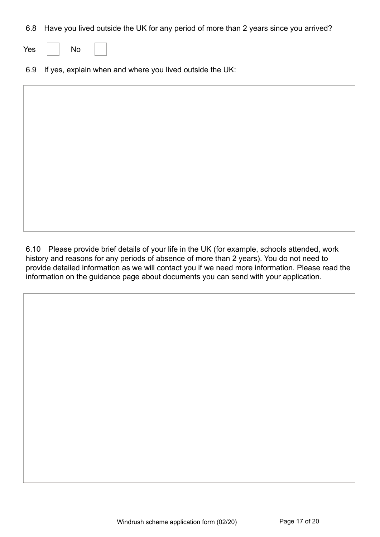6.8 Have you lived outside the UK for any period of more than 2 years since you arrived?

| Yes |  | No |  |
|-----|--|----|--|
|-----|--|----|--|

6.9 If yes, explain when and where you lived outside the UK:

6.10 Please provide brief details of your life in the UK (for example, schools attended, work history and reasons for any periods of absence of more than 2 years). You do not need to provide detailed information as we will contact you if we need more information. Please read the information on the guidance page about documents you can send with your application.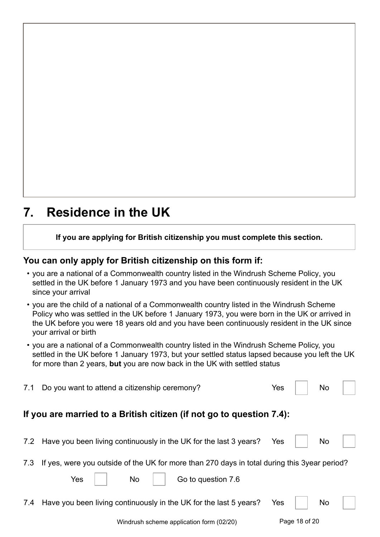### **7. Residence in the UK**

**If you are applying for British citizenship you must complete this section.**

### **You can only apply for British citizenship on this form if:**

- you are a national of a Commonwealth country listed in the Windrush Scheme Policy, you settled in the UK before 1 January 1973 and you have been continuously resident in the UK since your arrival
- you are the child of a national of a Commonwealth country listed in the Windrush Scheme Policy who was settled in the UK before 1 January 1973, you were born in the UK or arrived in the UK before you were 18 years old and you have been continuously resident in the UK since your arrival or birth
- you are a national of a Commonwealth country listed in the Windrush Scheme Policy, you settled in the UK before 1 January 1973, but your settled status lapsed because you left the UK for more than 2 years, **but** you are now back in the UK with settled status

| 7.1 | Do you want to attend a citizenship ceremony?                                                                                          | Yes        |               | No |  |
|-----|----------------------------------------------------------------------------------------------------------------------------------------|------------|---------------|----|--|
|     | If you are married to a British citizen (if not go to question 7.4):                                                                   |            |               |    |  |
|     | 7.2 Have you been living continuously in the UK for the last 3 years?                                                                  | Yes        |               | No |  |
| 7.3 | If yes, were you outside of the UK for more than 270 days in total during this 3year period?<br><b>No</b><br>Yes<br>Go to question 7.6 |            |               |    |  |
| 7.4 | Have you been living continuously in the UK for the last 5 years?                                                                      | <b>Yes</b> |               | No |  |
|     | Windrush scheme application form (02/20)                                                                                               |            | Page 18 of 20 |    |  |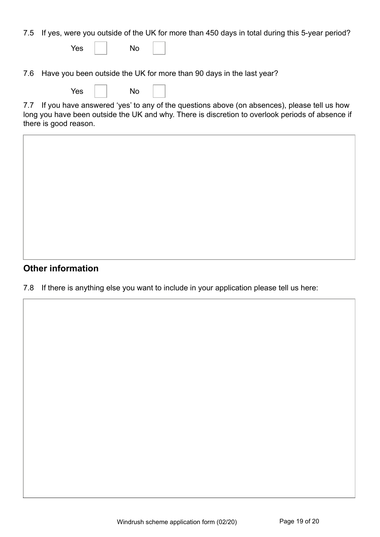7.5 If yes, were you outside of the UK for more than 450 days in total during this 5-year period?

| Yes |  | No |  |
|-----|--|----|--|
|-----|--|----|--|

7.6 Have you been outside the UK for more than 90 days in the last year?

| <b>Yes</b> |  | No |  |
|------------|--|----|--|
|------------|--|----|--|

7.7 If you have answered 'yes' to any of the questions above (on absences), please tell us how long you have been outside the UK and why. There is discretion to overlook periods of absence if there is good reason.

### **Other information**

7.8 If there is anything else you want to include in your application please tell us here: